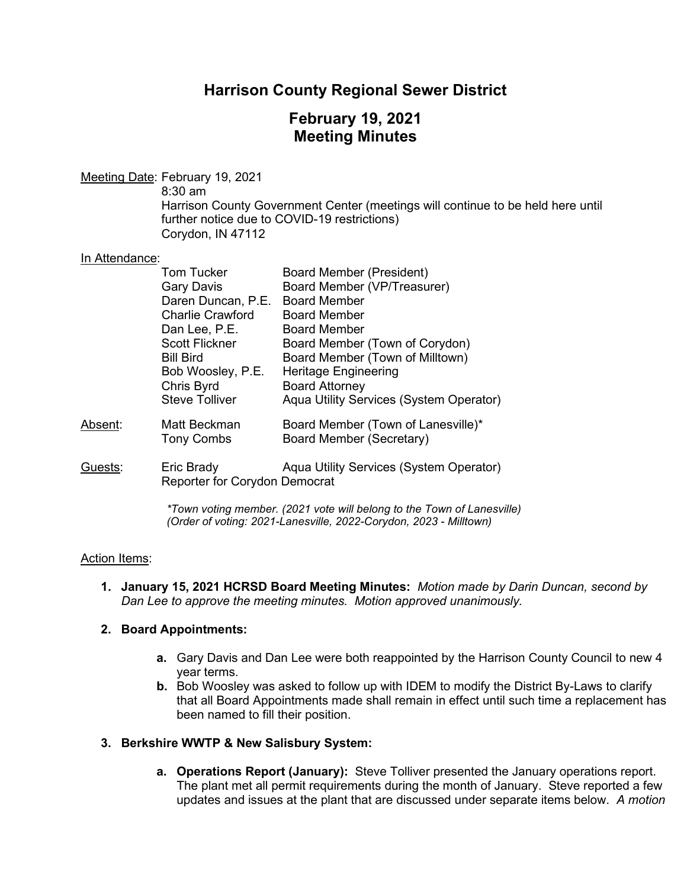## **Harrison County Regional Sewer District**

## **February 19, 2021 Meeting Minutes**

Meeting Date: February 19, 2021

8:30 am

Harrison County Government Center (meetings will continue to be held here until further notice due to COVID-19 restrictions) Corydon, IN 47112

## In Attendance:

|         | <b>Tom Tucker</b>                                  | <b>Board Member (President)</b>                                |
|---------|----------------------------------------------------|----------------------------------------------------------------|
|         | <b>Gary Davis</b>                                  | Board Member (VP/Treasurer)                                    |
|         | Daren Duncan, P.E.                                 | <b>Board Member</b>                                            |
|         | <b>Charlie Crawford</b>                            | <b>Board Member</b>                                            |
|         | Dan Lee, P.E.                                      | <b>Board Member</b>                                            |
|         | <b>Scott Flickner</b>                              | Board Member (Town of Corydon)                                 |
|         | <b>Bill Bird</b>                                   | Board Member (Town of Milltown)                                |
|         | Bob Woosley, P.E.                                  | <b>Heritage Engineering</b>                                    |
|         | Chris Byrd                                         | <b>Board Attorney</b>                                          |
|         | <b>Steve Tolliver</b>                              | Aqua Utility Services (System Operator)                        |
| Absent: | Matt Beckman<br><b>Tony Combs</b>                  | Board Member (Town of Lanesville)*<br>Board Member (Secretary) |
| Guests: | Eric Brady<br><b>Reporter for Corydon Democrat</b> | Aqua Utility Services (System Operator)                        |

*\*Town voting member. (2021 vote will belong to the Town of Lanesville) (Order of voting: 2021-Lanesville, 2022-Corydon, 2023 - Milltown)* 

## Action Items:

**1. January 15, 2021 HCRSD Board Meeting Minutes:** *Motion made by Darin Duncan, second by Dan Lee to approve the meeting minutes. Motion approved unanimously.*

## **2. Board Appointments:**

- **a.** Gary Davis and Dan Lee were both reappointed by the Harrison County Council to new 4 year terms.
- **b.** Bob Woosley was asked to follow up with IDEM to modify the District By-Laws to clarify that all Board Appointments made shall remain in effect until such time a replacement has been named to fill their position.

## **3. Berkshire WWTP & New Salisbury System:**

**a. Operations Report (January):** Steve Tolliver presented the January operations report. The plant met all permit requirements during the month of January. Steve reported a few updates and issues at the plant that are discussed under separate items below. *A motion*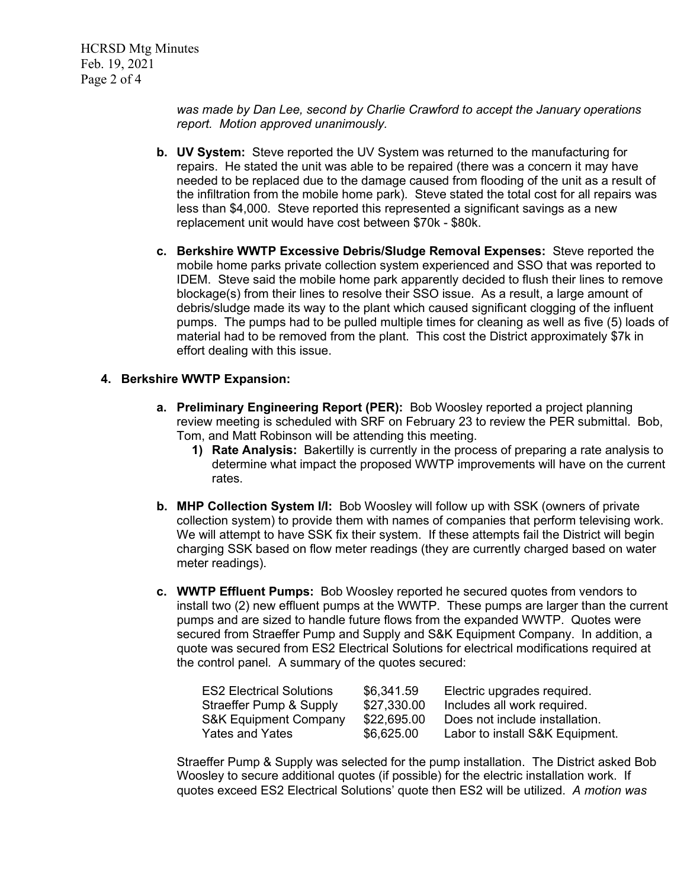*was made by Dan Lee, second by Charlie Crawford to accept the January operations report. Motion approved unanimously.*

- **b. UV System:** Steve reported the UV System was returned to the manufacturing for repairs. He stated the unit was able to be repaired (there was a concern it may have needed to be replaced due to the damage caused from flooding of the unit as a result of the infiltration from the mobile home park). Steve stated the total cost for all repairs was less than \$4,000. Steve reported this represented a significant savings as a new replacement unit would have cost between \$70k - \$80k.
- **c. Berkshire WWTP Excessive Debris/Sludge Removal Expenses:** Steve reported the mobile home parks private collection system experienced and SSO that was reported to IDEM. Steve said the mobile home park apparently decided to flush their lines to remove blockage(s) from their lines to resolve their SSO issue. As a result, a large amount of debris/sludge made its way to the plant which caused significant clogging of the influent pumps. The pumps had to be pulled multiple times for cleaning as well as five (5) loads of material had to be removed from the plant. This cost the District approximately \$7k in effort dealing with this issue.

#### **4. Berkshire WWTP Expansion:**

- **a. Preliminary Engineering Report (PER):** Bob Woosley reported a project planning review meeting is scheduled with SRF on February 23 to review the PER submittal. Bob, Tom, and Matt Robinson will be attending this meeting.
	- **1) Rate Analysis:** Bakertilly is currently in the process of preparing a rate analysis to determine what impact the proposed WWTP improvements will have on the current rates.
- **b. MHP Collection System I/I:** Bob Woosley will follow up with SSK (owners of private collection system) to provide them with names of companies that perform televising work. We will attempt to have SSK fix their system. If these attempts fail the District will begin charging SSK based on flow meter readings (they are currently charged based on water meter readings).
- **c. WWTP Effluent Pumps:** Bob Woosley reported he secured quotes from vendors to install two (2) new effluent pumps at the WWTP. These pumps are larger than the current pumps and are sized to handle future flows from the expanded WWTP. Quotes were secured from Straeffer Pump and Supply and S&K Equipment Company. In addition, a quote was secured from ES2 Electrical Solutions for electrical modifications required at the control panel*.* A summary of the quotes secured:

| <b>ES2 Electrical Solutions</b>  | \$6,341.59  | Electric upgrades required.     |
|----------------------------------|-------------|---------------------------------|
| Straeffer Pump & Supply          | \$27,330.00 | Includes all work required.     |
| <b>S&amp;K Equipment Company</b> | \$22,695.00 | Does not include installation.  |
| <b>Yates and Yates</b>           | \$6,625.00  | Labor to install S&K Equipment. |

Straeffer Pump & Supply was selected for the pump installation. The District asked Bob Woosley to secure additional quotes (if possible) for the electric installation work. If quotes exceed ES2 Electrical Solutions' quote then ES2 will be utilized. *A motion was*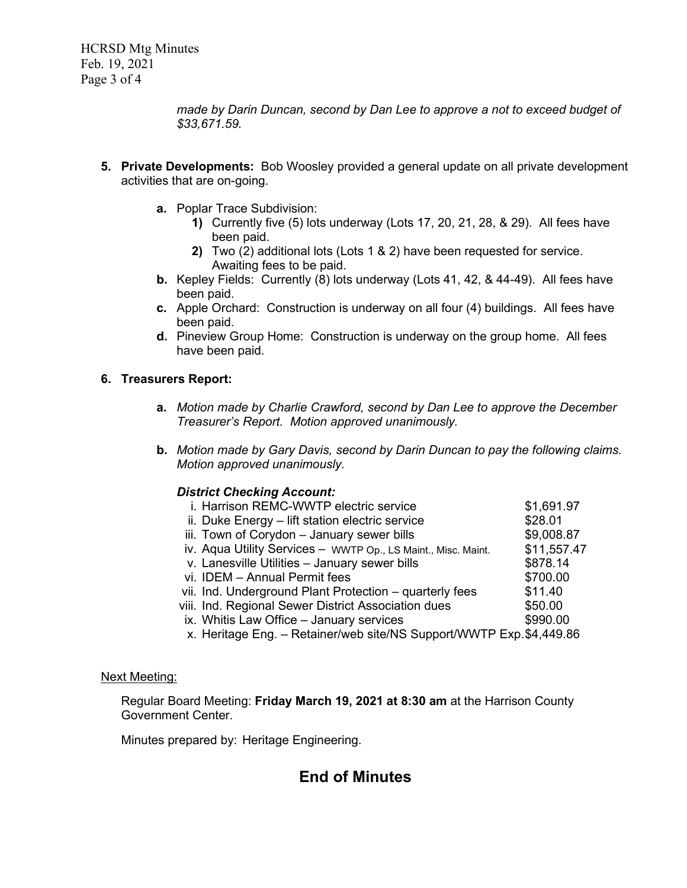*made by Darin Duncan, second by Dan Lee to approve a not to exceed budget of \$33,671.59.*

- **5. Private Developments:** Bob Woosley provided a general update on all private development activities that are on-going.
	- **a.** Poplar Trace Subdivision:
		- **1)** Currently five (5) lots underway (Lots 17, 20, 21, 28, & 29). All fees have been paid.
		- **2)** Two (2) additional lots (Lots 1 & 2) have been requested for service. Awaiting fees to be paid.
	- **b.** Kepley Fields: Currently (8) lots underway (Lots 41, 42, & 44-49). All fees have been paid.
	- **c.** Apple Orchard: Construction is underway on all four (4) buildings. All fees have been paid.
	- **d.** Pineview Group Home: Construction is underway on the group home. All fees have been paid.

## **6. Treasurers Report:**

- **a.** *Motion made by Charlie Crawford, second by Dan Lee to approve the December Treasurer's Report. Motion approved unanimously.*
- **b.** *Motion made by Gary Davis, second by Darin Duncan to pay the following claims. Motion approved unanimously.*

## *District Checking Account:*

| i. Harrison REMC-WWTP electric service                              | \$1,691.97  |
|---------------------------------------------------------------------|-------------|
| ii. Duke Energy - lift station electric service                     | \$28.01     |
| iii. Town of Corydon - January sewer bills                          | \$9,008.87  |
| iv. Aqua Utility Services - WWTP Op., LS Maint., Misc. Maint.       | \$11,557.47 |
| v. Lanesville Utilities - January sewer bills                       | \$878.14    |
| vi. IDEM - Annual Permit fees                                       | \$700.00    |
| vii. Ind. Underground Plant Protection – quarterly fees             | \$11.40     |
| viii. Ind. Regional Sewer District Association dues                 | \$50.00     |
| ix. Whitis Law Office - January services                            | \$990.00    |
| x. Heritage Eng. - Retainer/web site/NS Support/WWTP Exp.\$4,449.86 |             |
|                                                                     |             |

#### Next Meeting:

Regular Board Meeting: **Friday March 19, 2021 at 8:30 am** at the Harrison County Government Center.

Minutes prepared by: Heritage Engineering.

# **End of Minutes**